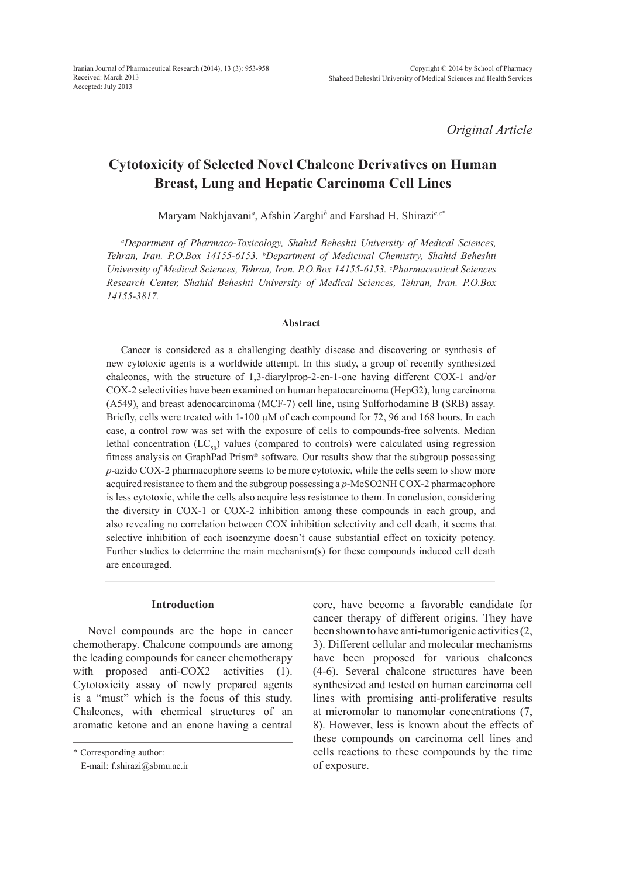*Original Article*

# **Cytotoxicity of Selected Novel Chalcone Derivatives on Human Breast, Lung and Hepatic Carcinoma Cell Lines**

Maryam Nakhjavani*<sup>a</sup>* , Afshin Zarghi*<sup>b</sup>* and Farshad H. Shirazi*a,c\**

*a Department of Pharmaco-Toxicology, Shahid Beheshti University of Medical Sciences, Tehran, Iran. P.O.Box 14155-6153. b Department of Medicinal Chemistry, Shahid Beheshti University of Medical Sciences, Tehran, Iran. P.O.Box 14155-6153. c Pharmaceutical Sciences Research Center, Shahid Beheshti University of Medical Sciences, Tehran, Iran. P.O.Box 14155-3817.*

#### **Abstract**

Cancer is considered as a challenging deathly disease and discovering or synthesis of new cytotoxic agents is a worldwide attempt. In this study, a group of recently synthesized chalcones, with the structure of 1,3-diarylprop-2-en-1-one having different COX-1 and/or COX-2 selectivities have been examined on human hepatocarcinoma (HepG2), lung carcinoma (A549), and breast adenocarcinoma (MCF-7) cell line, using Sulforhodamine B (SRB) assay. Briefly, cells were treated with  $1-100 \mu M$  of each compound for 72, 96 and 168 hours. In each case, a control row was set with the exposure of cells to compounds-free solvents. Median lethal concentration  $(LC_{50})$  values (compared to controls) were calculated using regression fitness analysis on GraphPad Prism® software. Our results show that the subgroup possessing *p*-azido COX-2 pharmacophore seems to be more cytotoxic, while the cells seem to show more acquired resistance to them and the subgroup possessing a *p*-MeSO2NH COX-2 pharmacophore is less cytotoxic, while the cells also acquire less resistance to them. In conclusion, considering the diversity in COX-1 or COX-2 inhibition among these compounds in each group, and also revealing no correlation between COX inhibition selectivity and cell death, it seems that selective inhibition of each isoenzyme doesn't cause substantial effect on toxicity potency. Further studies to determine the main mechanism(s) for these compounds induced cell death are encouraged.

### **Introduction**

Novel compounds are the hope in cancer chemotherapy. Chalcone compounds are among the leading compounds for cancer chemotherapy with proposed anti-COX2 activities (1). Cytotoxicity assay of newly prepared agents is a "must" which is the focus of this study. Chalcones, with chemical structures of an aromatic ketone and an enone having a central core, have become a favorable candidate for cancer therapy of different origins. They have been shown to have anti-tumorigenic activities (2, 3). Different cellular and molecular mechanisms have been proposed for various chalcones (4-6). Several chalcone structures have been synthesized and tested on human carcinoma cell lines with promising anti-proliferative results at micromolar to nanomolar concentrations (7, 8). However, less is known about the effects of these compounds on carcinoma cell lines and cells reactions to these compounds by the time of exposure.

<sup>\*</sup> Corresponding author:

E-mail: f.shirazi@sbmu.ac.ir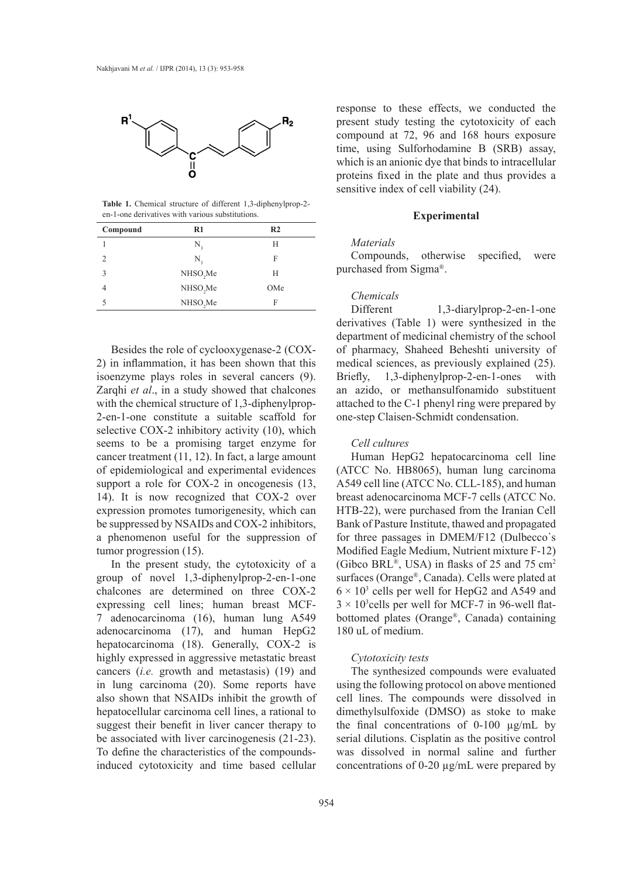

**Table 1.** Chemical structure of different 1,3-diphenylprop-2 en-1-one derivatives with various substitutions.

| Compound                    | $R1$                 | R <sub>2</sub> |
|-----------------------------|----------------------|----------------|
|                             | N,                   | H              |
| $\mathcal{D}_{\mathcal{L}}$ | N,                   | F              |
| 3                           | NHSO <sub>2</sub> Me | H              |
|                             | NHSO <sub>2</sub> Me | OMe            |
| 5                           | NHSO <sub>2</sub> Me | F              |

Besides the role of cyclooxygenase-2 (COX-2) in inflammation, it has been shown that this isoenzyme plays roles in several cancers (9). Zarqhi *et al*., in a study showed that chalcones with the chemical structure of 1,3-diphenylprop-2-en-1-one constitute a suitable scaffold for selective COX-2 inhibitory activity (10), which seems to be a promising target enzyme for cancer treatment (11, 12). In fact, a large amount of epidemiological and experimental evidences support a role for COX-2 in oncogenesis  $(13, 12)$ 14). It is now recognized that COX-2 over expression promotes tumorigenesity, which can be suppressed by NSAIDs and COX-2 inhibitors, a phenomenon useful for the suppression of tumor progression (15).

In the present study, the cytotoxicity of a group of novel 1,3-diphenylprop-2-en-1-one chalcones are determined on three COX-2 expressing cell lines; human breast MCF-7 adenocarcinoma (16), human lung A549 adenocarcinoma (17), and human HepG2 hepatocarcinoma (18). Generally, COX-2 is highly expressed in aggressive metastatic breast cancers (*i.e.* growth and metastasis) (19) and in lung carcinoma (20). Some reports have also shown that NSAIDs inhibit the growth of hepatocellular carcinoma cell lines, a rational to suggest their benefit in liver cancer therapy to be associated with liver carcinogenesis (21-23). To define the characteristics of the compoundsinduced cytotoxicity and time based cellular

response to these effects, we conducted the present study testing the cytotoxicity of each compound at 72, 96 and 168 hours exposure time, using Sulforhodamine B (SRB) assay, which is an anionic dye that binds to intracellular proteins fixed in the plate and thus provides a sensitive index of cell viability (24).

### **Experimental**

### *Materials*

Compounds, otherwise specified, were purchased from Sigma®.

# *Chemicals*

Different 1,3-diarylprop-2-en-1-one derivatives (Table 1) were synthesized in the department of medicinal chemistry of the school of pharmacy, Shaheed Beheshti university of medical sciences, as previously explained (25). Briefly, 1,3-diphenylprop-2-en-1-ones with an azido, or methansulfonamido substituent attached to the C-1 phenyl ring were prepared by one-step Claisen-Schmidt condensation.

# *Cell cultures*

Human HepG2 hepatocarcinoma cell line (ATCC No. HB8065), human lung carcinoma A549 cell line (ATCC No. CLL-185), and human breast adenocarcinoma MCF-7 cells (ATCC No. HTB-22), were purchased from the Iranian Cell Bank of Pasture Institute, thawed and propagated for three passages in DMEM/F12 (Dulbecco᾽s Modified Eagle Medium, Nutrient mixture F-12) (Gibco BRL®, USA) in flasks of 25 and 75 cm<sup>2</sup> surfaces (Orange®, Canada). Cells were plated at  $6 \times 10^3$  cells per well for HepG2 and A549 and  $3 \times 10^3$  cells per well for MCF-7 in 96-well flatbottomed plates (Orange®, Canada) containing 180 uL of medium.

# *Cytotoxicity tests*

The synthesized compounds were evaluated using the following protocol on above mentioned cell lines. The compounds were dissolved in dimethylsulfoxide (DMSO) as stoke to make the final concentrations of  $0-100 \mu g/mL$  by serial dilutions. Cisplatin as the positive control was dissolved in normal saline and further concentrations of 0-20 µg/mL were prepared by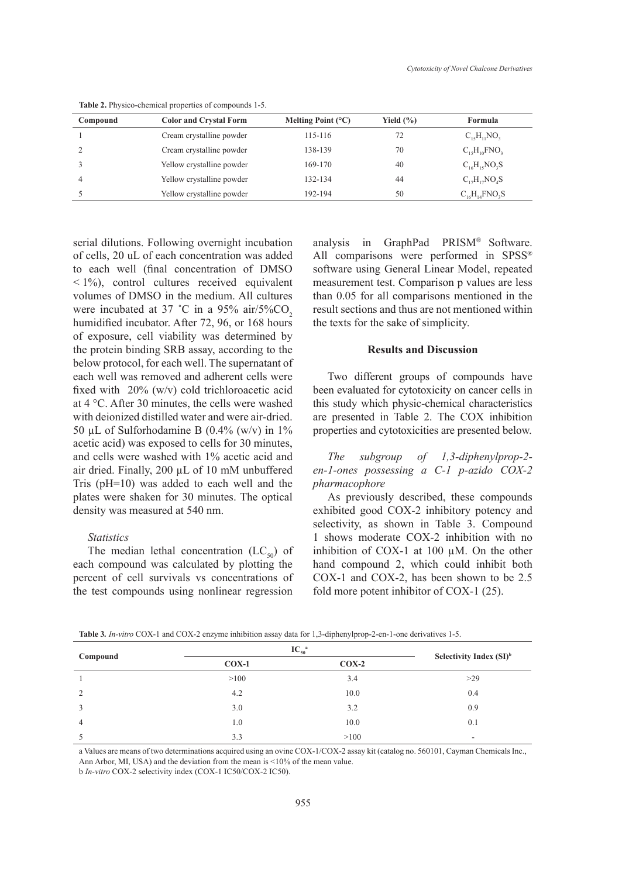| Compound       | <b>Color and Crystal Form</b> | Melting Point $(^{\circ}C)$ | Yield $(\% )$ | Formula              |
|----------------|-------------------------------|-----------------------------|---------------|----------------------|
|                | Cream crystalline powder      | 115-116                     |               | $C_{15}H_{11}NO_3$   |
| 2              | Cream crystalline powder      | 138-139                     | 70            | $C_{15}H_{10}FNO_3$  |
| 3              | Yellow crystalline powder     | 169-170                     | 40            | $C_{16}H_{15}NO_3S$  |
| $\overline{4}$ | Yellow crystalline powder     | 132-134                     | 44            | $C_{17}H_{17}NO_4S$  |
|                | Yellow crystalline powder     | 192-194                     | 50            | $C_{16}H_{14}FNO_3S$ |

**Table 2.** Physico-chemical properties of compounds 1-5.

serial dilutions. Following overnight incubation of cells, 20 uL of each concentration was added to each well (final concentration of DMSO  $\leq$  1%), control cultures received equivalent volumes of DMSO in the medium. All cultures were incubated at 37 °C in a 95% air/5%CO<sub>2</sub> humidified incubator. After 72, 96, or 168 hours of exposure, cell viability was determined by the protein binding SRB assay, according to the below protocol, for each well. The supernatant of each well was removed and adherent cells were fixed with 20% (w/v) cold trichloroacetic acid at 4 °C. After 30 minutes, the cells were washed with deionized distilled water and were air-dried. 50 µL of Sulforhodamine B  $(0.4\%$  (w/v) in 1% acetic acid) was exposed to cells for 30 minutes, and cells were washed with 1% acetic acid and air dried. Finally, 200 µL of 10 mM unbuffered Tris (pH=10) was added to each well and the plates were shaken for 30 minutes. The optical density was measured at 540 nm.

### *Statistics*

The median lethal concentration  $(LC_{50})$  of each compound was calculated by plotting the percent of cell survivals vs concentrations of the test compounds using nonlinear regression analysis in GraphPad PRISM® Software. All comparisons were performed in SPSS® software using General Linear Model, repeated measurement test. Comparison p values are less than 0.05 for all comparisons mentioned in the result sections and thus are not mentioned within the texts for the sake of simplicity.

# **Results and Discussion**

Two different groups of compounds have been evaluated for cytotoxicity on cancer cells in this study which physic-chemical characteristics are presented in Table 2. The COX inhibition properties and cytotoxicities are presented below.

*The subgroup of 1,3-diphenylprop-2 en-1-ones possessing a C-1 p-azido COX-2 pharmacophore*

As previously described, these compounds exhibited good COX-2 inhibitory potency and selectivity, as shown in Table 3. Compound 1 shows moderate COX-2 inhibition with no inhibition of COX-1 at 100 µM. On the other hand compound 2, which could inhibit both COX-1 and COX-2, has been shown to be 2.5 fold more potent inhibitor of COX-1 (25).

| Compound       | $IC_{50}^{\phantom{5}a}$ | Selectivity Index $(SI)^b$ |     |
|----------------|--------------------------|----------------------------|-----|
|                | $COX-1$                  | $COX-2$                    |     |
|                | >100                     | 3.4                        | >29 |
| $\overline{c}$ | 4.2                      | 10.0                       | 0.4 |
|                | 3.0                      | 3.2                        | 0.9 |
| 4              | 1.0                      | 10.0                       | 0.1 |
|                | 3.3                      | >100                       | ۰   |

**Table 3***. In-vitro* COX-1 and COX-2 enzyme inhibition assay data for 1,3-diphenylprop-2-en-1-one derivatives 1-5.

a Values are means of two determinations acquired using an ovine COX-1/COX-2 assay kit (catalog no. 560101, Cayman Chemicals Inc., Ann Arbor, MI, USA) and the deviation from the mean is <10% of the mean value.

b *In-vitro* COX-2 selectivity index (COX-1 IC50/COX-2 IC50).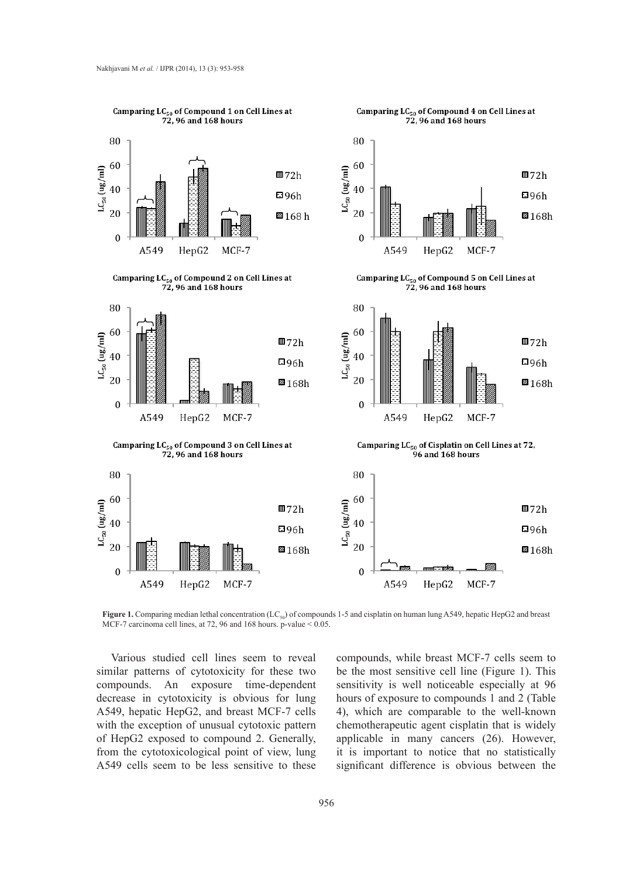

**Figure 1.** Comparing median lethal concentration (LC<sub>50</sub>) of compounds 1-5 and cisplatin on human lung A549, hepatic HepG2 and breast MCF-7 carcinoma cell lines, at 72, 96 and 168 hours. p-value < 0.05.

Various studied cell lines seem to reveal similar patterns of cytotoxicity for these two compounds. An exposure time-dependent decrease in cytotoxicity is obvious for lung A549, hepatic HepG2, and breast MCF-7 cells with the exception of unusual cytotoxic pattern of HepG2 exposed to compound 2. Generally, from the cytotoxicological point of view, lung A549 cells seem to be less sensitive to these

compounds, while breast MCF-7 cells seem to be the most sensitive cell line (Figure 1). This sensitivity is well noticeable especially at 96 hours of exposure to compounds 1 and 2 (Table 4), which are comparable to the well-known chemotherapeutic agent cisplatin that is widely applicable in many cancers (26). However, it is important to notice that no statistically significant difference is obvious between the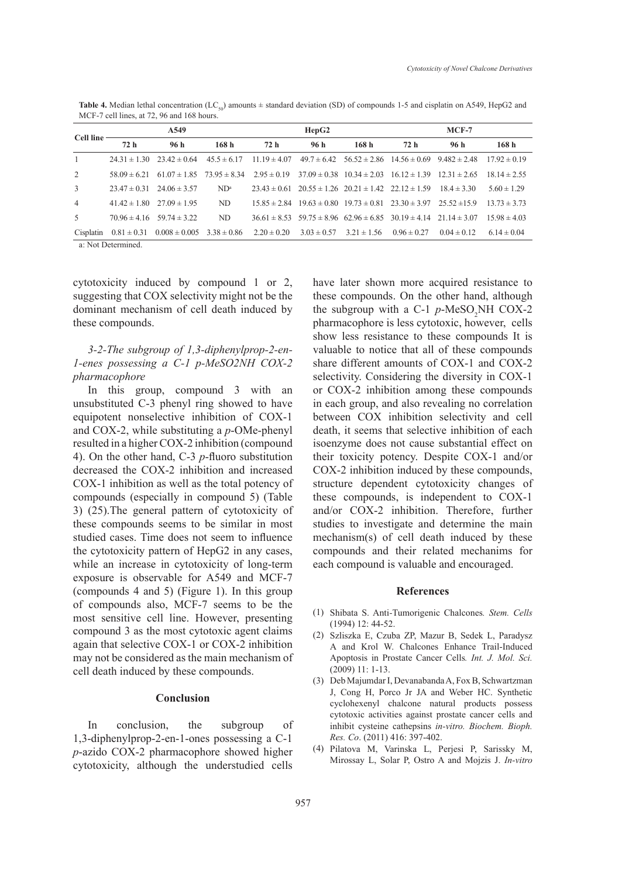| Cell line-     | A549 |                                                                                                                                        |        | HepG2 |      |                                 | $MCF-7$                                                                              |                 |                  |
|----------------|------|----------------------------------------------------------------------------------------------------------------------------------------|--------|-------|------|---------------------------------|--------------------------------------------------------------------------------------|-----------------|------------------|
|                | 72h  | 96 h                                                                                                                                   | 168h   | 72h   | 96 h | 168h                            | 72h                                                                                  | 96h             | 168h             |
| $\overline{1}$ |      | $24.31 \pm 1.30$ $23.42 \pm 0.64$ $45.5 \pm 6.17$                                                                                      |        |       |      |                                 | $11.19 \pm 4.07$ $49.7 \pm 6.42$ $56.52 \pm 2.86$ $14.56 \pm 0.69$ $9.482 \pm 2.48$  |                 | $17.92 \pm 0.19$ |
| 2              |      | $58.09 \pm 6.21$ $61.07 \pm 1.85$ $73.95 \pm 8.34$ $2.95 \pm 0.19$ $37.09 \pm 0.38$ $10.34 \pm 2.03$ $16.12 \pm 1.39$ $12.31 \pm 2.65$ |        |       |      |                                 |                                                                                      |                 | $18.14 \pm 2.55$ |
| 3              |      | $23.47 \pm 0.31$ $24.06 \pm 3.57$                                                                                                      | $ND^a$ |       |      |                                 | $23.43 \pm 0.61$ $20.55 \pm 1.26$ $20.21 \pm 1.42$ $22.12 \pm 1.59$ $18.4 \pm 3.30$  |                 | $5.60 \pm 1.29$  |
| $\overline{4}$ |      | $41.42 \pm 1.80$ $27.09 \pm 1.95$                                                                                                      | ND     |       |      |                                 | $15.85 \pm 2.84$ $19.63 \pm 0.80$ $19.73 \pm 0.81$ $23.30 \pm 3.97$ $25.52 \pm 15.9$ |                 | $13.73 \pm 3.73$ |
| .5             |      | $70.96 \pm 4.16$ $59.74 \pm 3.22$                                                                                                      | ND     |       |      |                                 | $36.61 \pm 8.53$ $59.75 \pm 8.96$ $62.96 \pm 6.85$ $30.19 \pm 4.14$ $21.14 \pm 3.07$ |                 | $15.98 \pm 4.03$ |
|                |      | Cisplatin $0.81 \pm 0.31$ $0.008 \pm 0.005$ $3.38 \pm 0.86$ $2.20 \pm 0.20$                                                            |        |       |      | $3.03 \pm 0.57$ $3.21 \pm 1.56$ | $0.96 \pm 0.27$                                                                      | $0.04 \pm 0.12$ | $6.14 \pm 0.04$  |

**Table 4.** Median lethal concentration (LC<sub>50</sub>) amounts  $\pm$  standard deviation (SD) of compounds 1-5 and cisplatin on A549, HepG2 and MCF-7 cell lines, at 72, 96 and 168 hours.

a: Not Determined.

cytotoxicity induced by compound 1 or 2, suggesting that COX selectivity might not be the dominant mechanism of cell death induced by these compounds.

# *3-2-The subgroup of 1,3-diphenylprop-2-en-1-enes possessing a C-1 p-MeSO2NH COX-2 pharmacophore*

In this group, compound 3 with an unsubstituted C-3 phenyl ring showed to have equipotent nonselective inhibition of COX-1 and COX-2, while substituting a *p*-OMe-phenyl resulted in a higher COX-2 inhibition (compound 4). On the other hand, C-3 *p*-fluoro substitution decreased the COX-2 inhibition and increased COX-1 inhibition as well as the total potency of compounds (especially in compound 5) (Table 3) (25).The general pattern of cytotoxicity of these compounds seems to be similar in most studied cases. Time does not seem to influence the cytotoxicity pattern of HepG2 in any cases, while an increase in cytotoxicity of long-term exposure is observable for A549 and MCF-7 (compounds 4 and 5) (Figure 1). In this group of compounds also, MCF-7 seems to be the most sensitive cell line. However, presenting compound 3 as the most cytotoxic agent claims again that selective COX-1 or COX-2 inhibition may not be considered as the main mechanism of cell death induced by these compounds.

# **Conclusion**

In conclusion, the subgroup of 1,3-diphenylprop-2-en-1-ones possessing a C-1 *p*-azido COX-2 pharmacophore showed higher cytotoxicity, although the understudied cells have later shown more acquired resistance to these compounds. On the other hand, although the subgroup with a  $C-1$   $p$ -MeSO<sub>2</sub>NH COX-2 pharmacophore is less cytotoxic, however, cells show less resistance to these compounds It is valuable to notice that all of these compounds share different amounts of COX-1 and COX-2 selectivity. Considering the diversity in COX-1 or COX-2 inhibition among these compounds in each group, and also revealing no correlation between COX inhibition selectivity and cell death, it seems that selective inhibition of each isoenzyme does not cause substantial effect on their toxicity potency. Despite COX-1 and/or COX-2 inhibition induced by these compounds, structure dependent cytotoxicity changes of these compounds, is independent to COX-1 and/or COX-2 inhibition. Therefore, further studies to investigate and determine the main mechanism(s) of cell death induced by these compounds and their related mechanims for each compound is valuable and encouraged.

#### **References**

- Shibata S. Anti*‐*Tumorigenic Chalcones*. Stem. Cells* (1) (1994) 12: 44-52.
- Szliszka E, Czuba ZP, Mazur B, Sedek L, Paradysz (2) A and Krol W. Chalcones Enhance Trail-Induced Apoptosis in Prostate Cancer Cells*. Int. J. Mol. Sci.* (2009) 11: 1-13.
- Deb Majumdar I, Devanabanda A, Fox B, Schwartzman (3) J, Cong H, Porco Jr JA and Weber HC. Synthetic cyclohexenyl chalcone natural products possess cytotoxic activities against prostate cancer cells and inhibit cysteine cathepsins *in-vitro. Biochem. Bioph. Res. Co*. (2011) 416: 397-402.
- (4) Pilatova M, Varinska L, Perjesi P, Sarissky M, Mirossay L, Solar P, Ostro A and Mojzis J. *In-vitro*